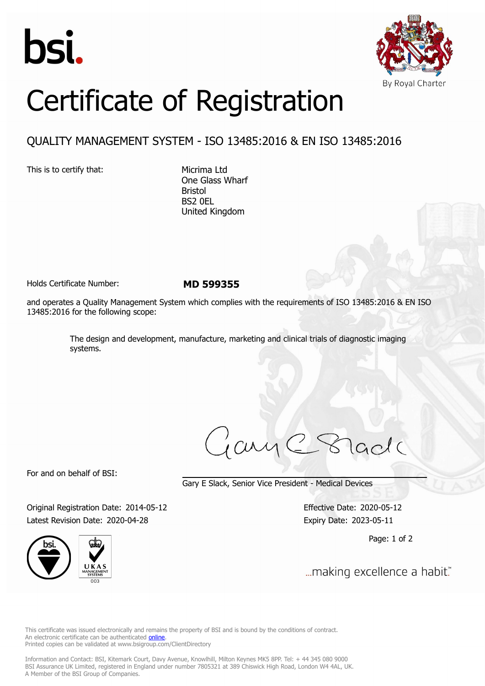



## Certificate of Registration

## QUALITY MANAGEMENT SYSTEM - ISO 13485:2016 & EN ISO 13485:2016

This is to certify that: Micrima Ltd

One Glass Wharf Bristol BS2 0EL United Kingdom

Holds Certificate Number: **MD 599355**

and operates a Quality Management System which complies with the requirements of ISO 13485:2016 & EN ISO 13485:2016 for the following scope:

> The design and development, manufacture, marketing and clinical trials of diagnostic imaging systems.

ary

For and on behalf of BSI:

Gary E Slack, Senior Vice President - Medical Devices

Original Registration Date: 2014-05-12 Effective Date: 2020-05-12 Latest Revision Date: 2020-04-28 Expiry Date: 2023-05-11





Page: 1 of 2

... making excellence a habit."

This certificate was issued electronically and remains the property of BSI and is bound by the conditions of contract. An electronic certificate can be authenticated **[online](https://pgplus.bsigroup.com/CertificateValidation/CertificateValidator.aspx?CertificateNumber=MD+599355&ReIssueDate=28%2f04%2f2020&Template=uk)**. Printed copies can be validated at www.bsigroup.com/ClientDirectory

Information and Contact: BSI, Kitemark Court, Davy Avenue, Knowlhill, Milton Keynes MK5 8PP. Tel: + 44 345 080 9000 BSI Assurance UK Limited, registered in England under number 7805321 at 389 Chiswick High Road, London W4 4AL, UK. A Member of the BSI Group of Companies.